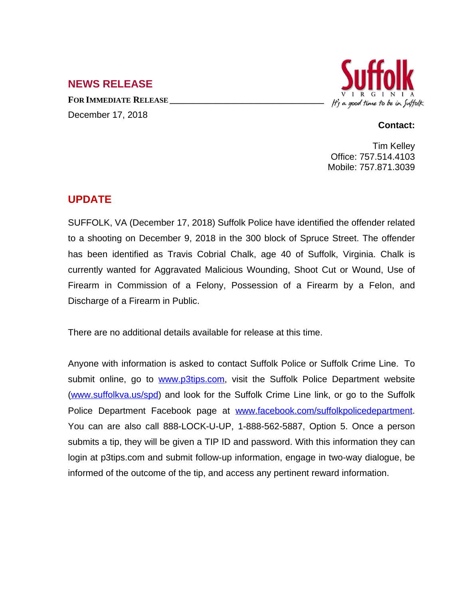## **NEWS RELEASE**

**FOR IMMEDIATE RELEASE \_\_\_\_\_\_\_\_\_\_\_\_\_\_\_\_\_\_\_\_\_\_\_\_\_\_\_\_\_\_\_\_\_\_** December 17, 2018



## **Contact:**

Tim Kelley Office: 757.514.4103 Mobile: 757.871.3039

## **UPDATE**

SUFFOLK, VA (December 17, 2018) Suffolk Police have identified the offender related to a shooting on December 9, 2018 in the 300 block of Spruce Street. The offender has been identified as Travis Cobrial Chalk, age 40 of Suffolk, Virginia. Chalk is currently wanted for Aggravated Malicious Wounding, Shoot Cut or Wound, Use of Firearm in Commission of a Felony, Possession of a Firearm by a Felon, and Discharge of a Firearm in Public.

There are no additional details available for release at this time.

Anyone with information is asked to contact Suffolk Police or Suffolk Crime Line. To submit online, go to [www.p3tips.com](http://www.p3tips.com), visit the Suffolk Police Department website ([www.suffolkva.us/spd](http://www.suffolkva.us/spd)) and look for the Suffolk Crime Line link, or go to the Suffolk Police Department Facebook page at [www.facebook.com/suffolkpolicedepartment.](http://www.facebook.com/suffolkpolicedepartment) You can are also call 888-LOCK-U-UP, 1-888-562-5887, Option 5. Once a person submits a tip, they will be given a TIP ID and password. With this information they can login at p3tips.com and submit follow-up information, engage in two-way dialogue, be informed of the outcome of the tip, and access any pertinent reward information.